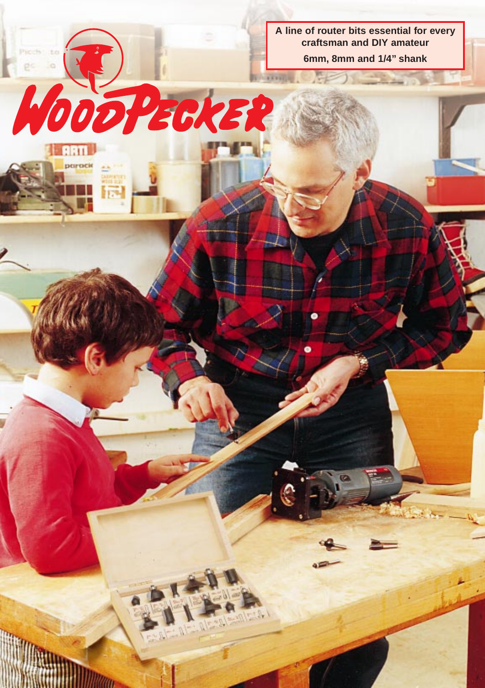**A line of router bits essential for every craftsman and DIY amateur**

**6mm, 8mm and 1/4" shank**

NOOPEORER

**ARTI** parack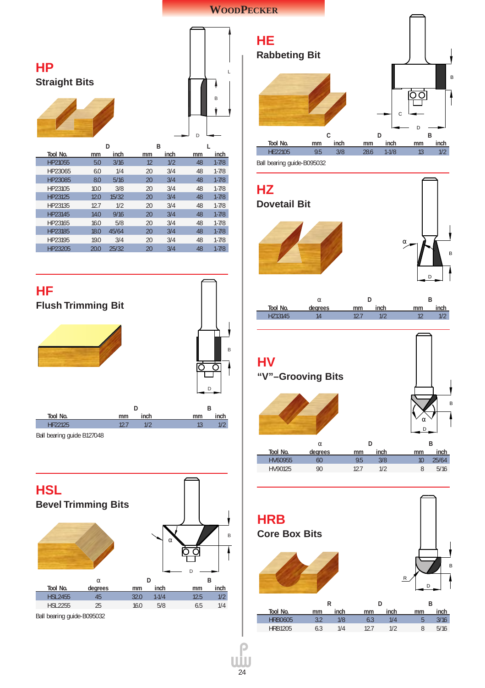### **WOODPECKER**





Ball bearing guide B127048





**HZ Dovetail Bit** α **D B Tool No. degrees mm inch mm inch** HZ13145 14 12.7 1/2 12 1/2 α D

B

**HV "V"–Grooving Bits**  $\alpha$  **D B Tool No. degrees mm inch mm inch** HV60955 60 9.5 3/8 10 25/64 HV90125 90 12.7 1/2 8 B α D

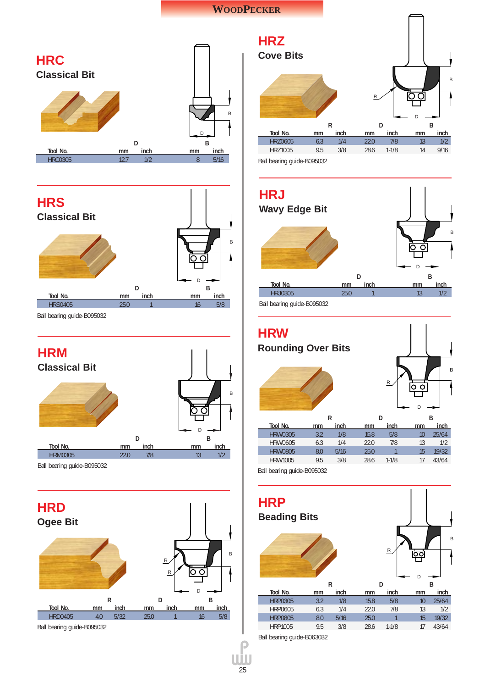### **WOODPECKER**





Ball bearing guide-B095032





Ball bearing guide-B095032



**HRJ Wavy Edge Bit** B O C D **D B Tool No. mm inch mm inch** HRJ0305 25.0 1 13 1/2

Ball bearing guide-B095032



Ball bearing guide-B095032



Ball bearing guide-B063032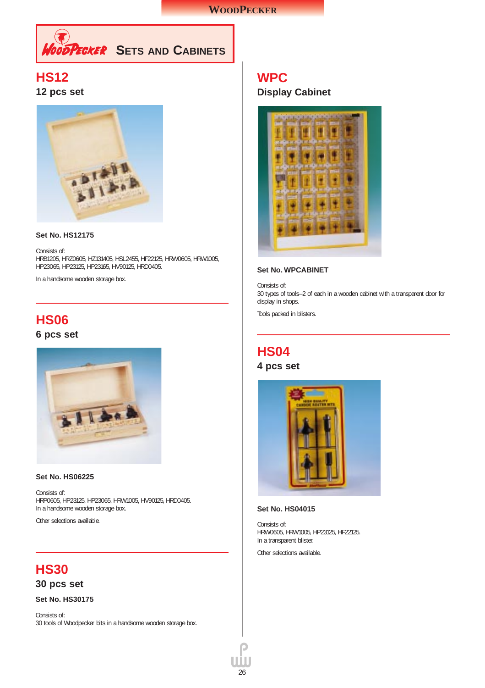

## **HS12**

**12 pcs set**



#### **Set No. HS12175**

Consists of: HRB1205, HRZ0605, HZ131405, HSL2455, HF22125, HRW0605, HRW1005, HP23065, HP23125, HP23165, HV90125, HRD0405.

In a handsome wooden storage box.

## **HS06 6 pcs set**



#### **Set No. HS06225**

Consists of: HRP0605, HP23125, HP23065, HRW1005, HV90125, HRD0405. In a handsome wooden storage box.

Other selections available.

# **HS30**

**30 pcs set**

**Set No. HS30175**

Consists of: 30 tools of Woodpecker bits in a handsome wooden storage box.

## **WPC Display Cabinet**



#### **Set No. WPCABINET**

Consists of: 30 types of tools–2 of each in a wooden cabinet with a transparent door for display in shops.

Tools packed in blisters.

## **HS04**

**4 pcs set**



#### **Set No. HS04015**

Consists of: HRW0605, HRW1005, HP23125, HF22125. In a transparent blister.

Other selections available.

 $26$